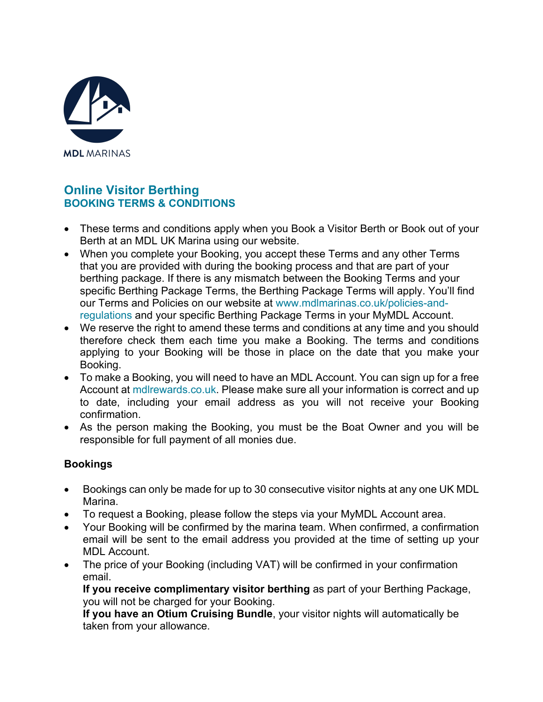

# **Online Visitor Berthing BOOKING TERMS & CONDITIONS**

- These terms and conditions apply when you Book a Visitor Berth or Book out of your Berth at an MDL UK Marina using our website.
- When you complete your Booking, you accept these Terms and any other Terms that you are provided with during the booking process and that are part of your berthing package. If there is any mismatch between the Booking Terms and your specific Berthing Package Terms, the Berthing Package Terms will apply. You'll find our Terms and Policies on our website at [www.mdlmarinas.co.uk/policies-and](https://www.mdlmarinas.co.uk/policies-and-regulations/)[regulations](https://www.mdlmarinas.co.uk/policies-and-regulations/) and your specific Berthing Package Terms in your MyMDL Account.
- We reserve the right to amend these terms and conditions at any time and you should therefore check them each time you make a Booking. The terms and conditions applying to your Booking will be those in place on the date that you make your Booking.
- To make a Booking, you will need to have an MDL Account. You can sign up for a free Account at [mdlrewards.co.uk.](https://www.mdlmarinas.co.uk/otium/) Please make sure all your information is correct and up to date, including your email address as you will not receive your Booking confirmation.
- As the person making the Booking, you must be the Boat Owner and you will be responsible for full payment of all monies due.

## **Bookings**

- Bookings can only be made for up to 30 consecutive visitor nights at any one UK MDL Marina.
- To request a Booking, please follow the steps via your MyMDL Account area.
- Your Booking will be confirmed by the marina team. When confirmed, a confirmation email will be sent to the email address you provided at the time of setting up your MDL Account.
- The price of your Booking (including VAT) will be confirmed in your confirmation email.

**If you receive complimentary visitor berthing** as part of your Berthing Package, you will not be charged for your Booking.

**If you have an Otium Cruising Bundle**, your visitor nights will automatically be taken from your allowance.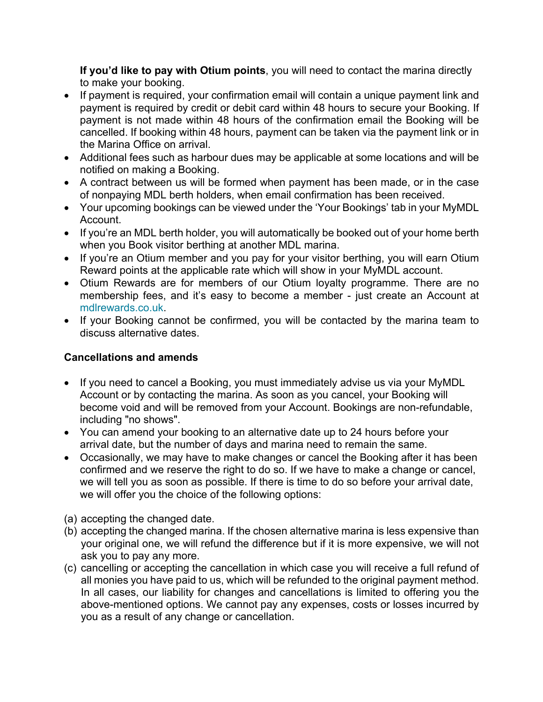**If you'd like to pay with Otium points**, you will need to contact the marina directly to make your booking.

- If payment is required, your confirmation email will contain a unique payment link and payment is required by credit or debit card within 48 hours to secure your Booking. If payment is not made within 48 hours of the confirmation email the Booking will be cancelled. If booking within 48 hours, payment can be taken via the payment link or in the Marina Office on arrival.
- Additional fees such as harbour dues may be applicable at some locations and will be notified on making a Booking.
- A contract between us will be formed when payment has been made, or in the case of nonpaying MDL berth holders, when email confirmation has been received.
- Your upcoming bookings can be viewed under the 'Your Bookings' tab in your MyMDL Account.
- If you're an MDL berth holder, you will automatically be booked out of your home berth when you Book visitor berthing at another MDL marina.
- If you're an Otium member and you pay for your visitor berthing, you will earn Otium Reward points at the applicable rate which will show in your MyMDL account.
- Otium Rewards are for members of our Otium loyalty programme. There are no membership fees, and it's easy to become a member - just create an Account at [mdlrewards.co.uk.](https://www.mdlmarinas.co.uk/otium/)
- If your Booking cannot be confirmed, you will be contacted by the marina team to discuss alternative dates.

## **Cancellations and amends**

- If you need to cancel a Booking, you must immediately advise us via your MyMDL Account or by contacting the marina. As soon as you cancel, your Booking will become void and will be removed from your Account. Bookings are non-refundable, including "no shows".
- You can amend your booking to an alternative date up to 24 hours before your arrival date, but the number of days and marina need to remain the same.
- Occasionally, we may have to make changes or cancel the Booking after it has been confirmed and we reserve the right to do so. If we have to make a change or cancel, we will tell you as soon as possible. If there is time to do so before your arrival date, we will offer you the choice of the following options:
- (a) accepting the changed date.
- (b) accepting the changed marina. If the chosen alternative marina is less expensive than your original one, we will refund the difference but if it is more expensive, we will not ask you to pay any more.
- (c) cancelling or accepting the cancellation in which case you will receive a full refund of all monies you have paid to us, which will be refunded to the original payment method. In all cases, our liability for changes and cancellations is limited to offering you the above-mentioned options. We cannot pay any expenses, costs or losses incurred by you as a result of any change or cancellation.